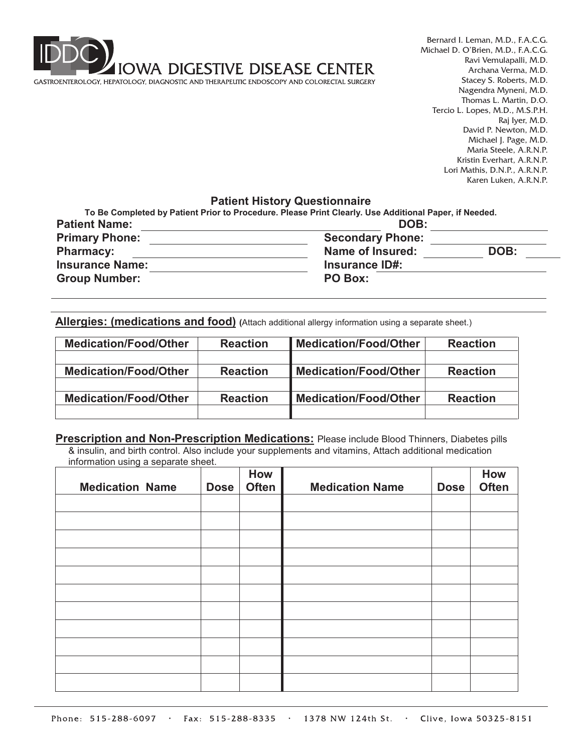

Bernard I. Leman, M.D., F.A.C.G. Michael D. O'Brien, M.D., F.A.C.G. Ravi Vemulapalli, M.D. Archana Verma, M.D. Stacey S. Roberts, M.D. Nagendra Myneni, M.D. Thomas L. Martin, D.O. Tercio L. Lopes, M.D., M.S.P.H. Raj Iyer, M.D. David P. Newton, M.D. Michael J. Page, M.D. Maria Steele, A.R.N.P. Kristin Everhart, A.R.N.P. Lori Mathis, D.N.P., A.R.N.P. Karen Luken, A.R.N.P.

## **Patient History Questionnaire**

| <b>Patient Name:</b>   | DOB:                    |      |
|------------------------|-------------------------|------|
| <b>Primary Phone:</b>  | <b>Secondary Phone:</b> |      |
| <b>Pharmacy:</b>       | <b>Name of Insured:</b> | DOB: |
| <b>Insurance Name:</b> | <b>Insurance ID#:</b>   |      |
| <b>Group Number:</b>   | PO Box:                 |      |

**Allergies: (medications and food) (**Attach additional allergy information using a separate sheet.)

| <b>Medication/Food/Other</b> | <b>Reaction</b> | <b>Medication/Food/Other</b> | <b>Reaction</b> |  |
|------------------------------|-----------------|------------------------------|-----------------|--|
|                              |                 |                              |                 |  |
| <b>Medication/Food/Other</b> | <b>Reaction</b> | <b>Medication/Food/Other</b> | <b>Reaction</b> |  |
|                              |                 |                              |                 |  |
| <b>Medication/Food/Other</b> | <b>Reaction</b> | <b>Medication/Food/Other</b> | <b>Reaction</b> |  |
|                              |                 |                              |                 |  |

**Prescription and Non-Prescription Medications:** Please include Blood Thinners, Diabetes pills

& insulin, and birth control. Also include your supplements and vitamins, Attach additional medication information using a separate sheet.

| <b>Medication Name</b> | <b>Dose</b> | How<br><b>Often</b> | <b>Medication Name</b> | <b>Dose</b> | How<br><b>Often</b> |
|------------------------|-------------|---------------------|------------------------|-------------|---------------------|
|                        |             |                     |                        |             |                     |
|                        |             |                     |                        |             |                     |
|                        |             |                     |                        |             |                     |
|                        |             |                     |                        |             |                     |
|                        |             |                     |                        |             |                     |
|                        |             |                     |                        |             |                     |
|                        |             |                     |                        |             |                     |
|                        |             |                     |                        |             |                     |
|                        |             |                     |                        |             |                     |
|                        |             |                     |                        |             |                     |
|                        |             |                     |                        |             |                     |